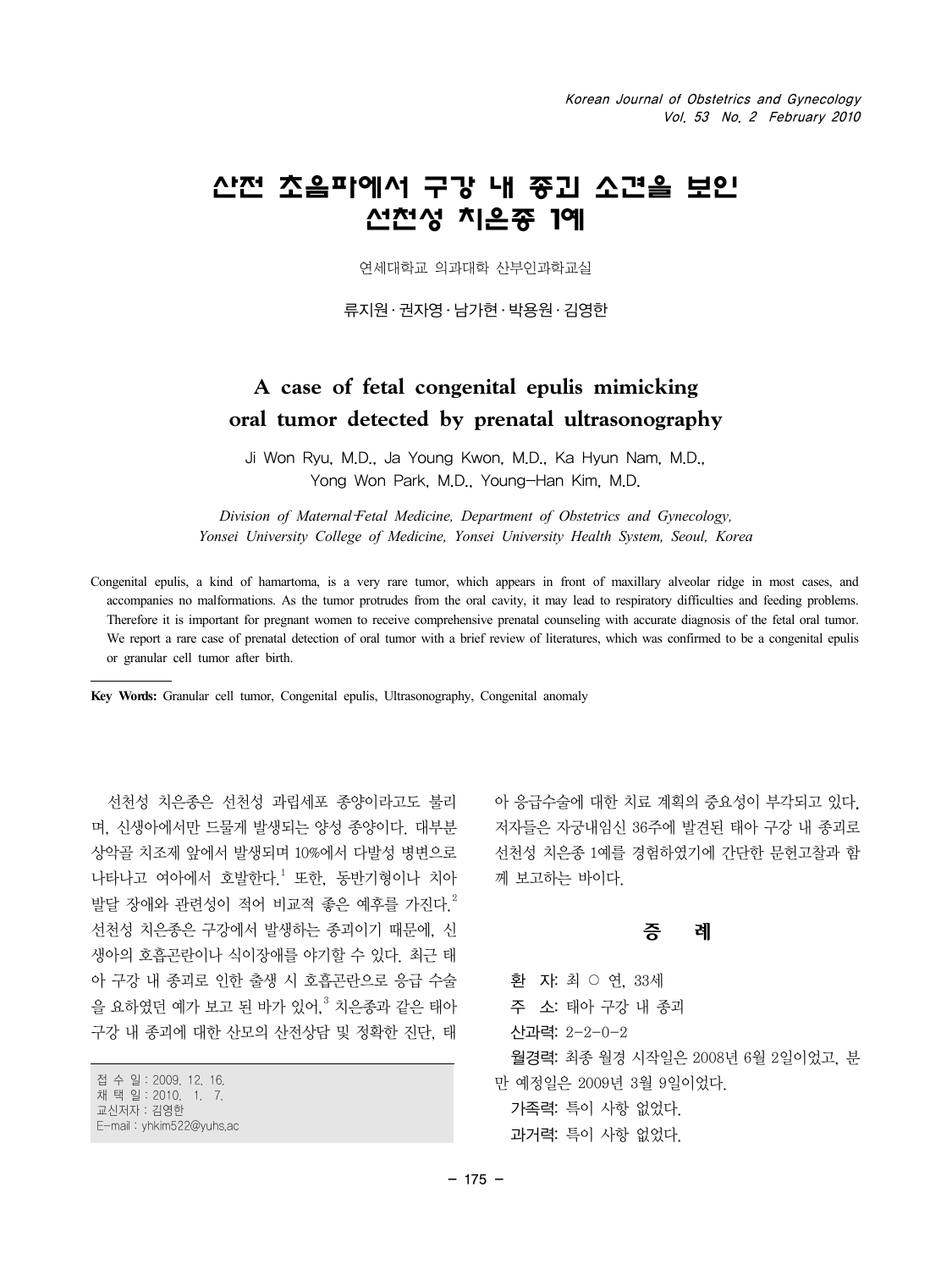# 산전 초음파에서 구강 내 종괴 소견을 보인 선천성 치은종 1예

연세대학교 의과대학 산부인과학교실

류지원 ․ 권자영 ․ 남가현 ․ 박용원 ․ 김영한

## **A case of fetal congenital epulis mimicking oral tumor detected by prenatal ultrasonography**

Ji Won Ryu, M.D., Ja Young Kwon, M.D., Ka Hyun Nam, M.D., Yong Won Park, M.D., Young-Han Kim, M.D.

*Division of Maternal*‐*Fetal Medicine, Department of Obstetrics and Gynecology, Yonsei University College of Medicine, Yonsei University Health System, Seoul, Korea*

Congenital epulis, a kind of hamartoma, is a very rare tumor, which appears in front of maxillary alveolar ridge in most cases, and accompanies no malformations. As the tumor protrudes from the oral cavity, it may lead to respiratory difficulties and feeding problems. Therefore it is important for pregnant women to receive comprehensive prenatal counseling with accurate diagnosis of the fetal oral tumor. We report a rare case of prenatal detection of oral tumor with a brief review of literatures, which was confirmed to be a congenital epulis or granular cell tumor after birth.

**Key Words:** Granular cell tumor, Congenital epulis, Ultrasonography, Congenital anomaly

선천성 치은종은 선천성 과립세포 종양이라고도 불리 며, 신생아에서만 드물게 발생되는 양성 종양이다. 대부분 상악골 치조제 앞에서 발생되며 10%에서 다발성 병변으로 나타나고 여아에서 호발한다.<sup>1</sup> 또한, 동반기형이나 치아 발달 장애와 관련성이 적어 비교적 좇은 예후를 가진다<sup>2</sup> 선천성 치은종은 구강에서 발생하는 종괴이기 때문에, 신 생아의 호흡곤란이나 식이장애를 야기할 수 있다. 최근 태 아 구강 내 종괴로 인한 출생 시 호흡곤란으로 응급 수술 을 요하였던 예가 보고 된 바가 있어,<sup>3</sup> 치은종과 같은 태아 구강 내 종괴에 대한 산모의 산전상담 및 정확한 진단, 태

접 수 일:2009. 12. 16. 채 택 일:2010. 1. 7. 교신저자:김영한 E-mail:yhkim522@yuhs.ac 아 응급수술에 대한 치료 계획의 중요성이 부각되고 있다. 저자들은 자궁내임신 36주에 발견된 태아 구강 내 종괴로 선천성 치은종 1예를 경험하였기에 간단한 문헌고찰과 함 께 보고하는 바이다.

#### 증 례

환 자: 최 ○ 연, 33세 주 소: 태아 구강 내 종괴 산과력: 2-2-0-2 월경력: 최종 월경 시작일은 2008년 6월 2일이었고, 분 만 예정일은 2009년 3월 9일이었다. 가족력: 특이 사항 없었다. 과거력: 특이 사항 없었다.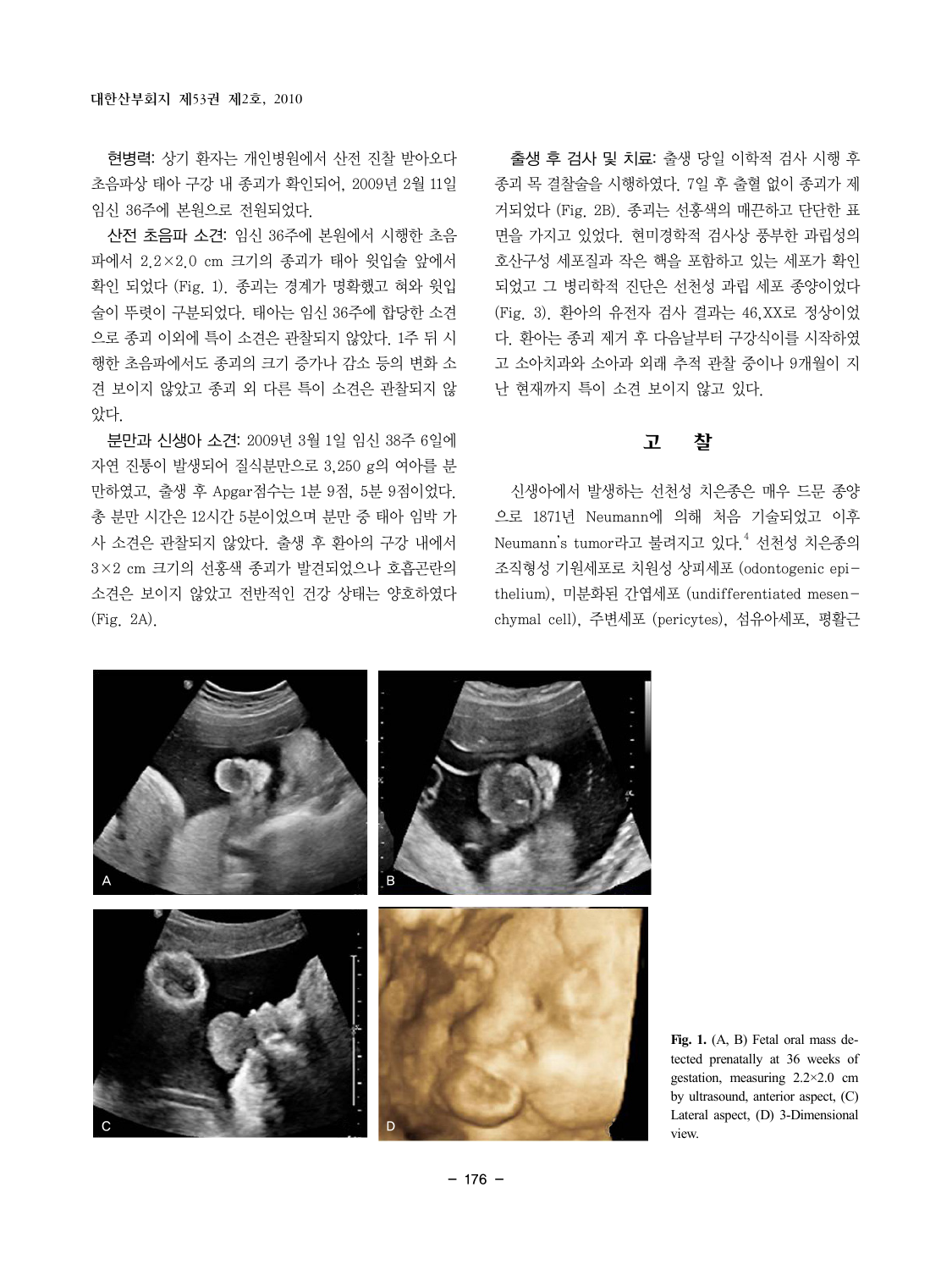현병력: 상기 환자는 개인병원에서 산전 진찰 받아오다 초음파상 태아 구강 내 종괴가 확인되어, 2009년 2월 11일 임신 36주에 본원으로 전원되었다.

산전 초음파 소견: 임신 36주에 본원에서 시행한 초음 파에서 2.2×2.0 cm 크기의 종괴가 태아 윗입술 앞에서 확인 되었다 (Fig. 1). 종괴는 경계가 명확했고 혀와 윗입 술이 뚜렷이 구분되었다. 태아는 임신 36주에 합당한 소견 으로 종괴 이외에 특이 소견은 관찰되지 않았다. 1주 뒤 시 행한 초음파에서도 종괴의 크기 증가나 감소 등의 변화 소 견 보이지 않았고 종괴 외 다른 특이 소견은 관찰되지 않 았다.

분만과 신생아 소견: 2009년 3월 1일 임신 38주 6일에 자연 진통이 발생되어 질식분만으로 3,250 g의 여아를 분 만하였고, 출생 후 Apgar점수는 1분 9점, 5분 9점이었다. 총 분만 시간은 12시간 5분이었으며 분만 중 태아 임박 가 사 소견은 관찰되지 않았다. 출생 후 환아의 구강 내에서 3×2 cm 크기의 선홍색 종괴가 발견되었으나 호흡곤란의 소견은 보이지 않았고 전반적인 건강 상태는 양호하였다 (Fig. 2A).

출생 후 검사 및 치료: 출생 당일 이학적 검사 시행 후 종괴 목 결찰술을 시행하였다. 7일 후 출혈 없이 종괴가 제 거되었다 (Fig. 2B). 종괴는 선홍색의 매끈하고 단단한 표 면을 가지고 있었다. 현미경학적 검사상 풍부한 과립성의 호산구성 세포질과 작은 핵을 포함하고 있는 세포가 확인 되었고 그 병리학적 진단은 선천성 과립 세포 종양이었다 (Fig. 3). 환아의 유전자 검사 결과는 46,XX로 정상이었 다. 환아는 종괴 제거 후 다음날부터 구강식이를 시작하였 고 소아치과와 소아과 외래 추적 관찰 중이나 9개월이 지 난 현재까지 특이 소견 보이지 않고 있다.

#### 고 찰

신생아에서 발생하는 선천성 치은종은 매우 드문 종양 으로 1871년 Neumann에 의해 처음 기술되었고 이후 Neumann's tumor라고 불려지고 있다.<sup>4</sup> 선천성 치<del>은종</del>의 조직형성 기원세포로 치원성 상피세포 (odontogenic epithelium), 미분화된 간엽세포 (undifferentiated mesenchymal cell), 주변세포 (pericytes), 섬유아세포, 평활근



**Fig. 1.** (A, B) Fetal oral mass detected prenatally at 36 weeks of gestation, measuring 2.2×2.0 cm by ultrasound, anterior aspect, (C) Lateral aspect, (D) 3-Dimensional view.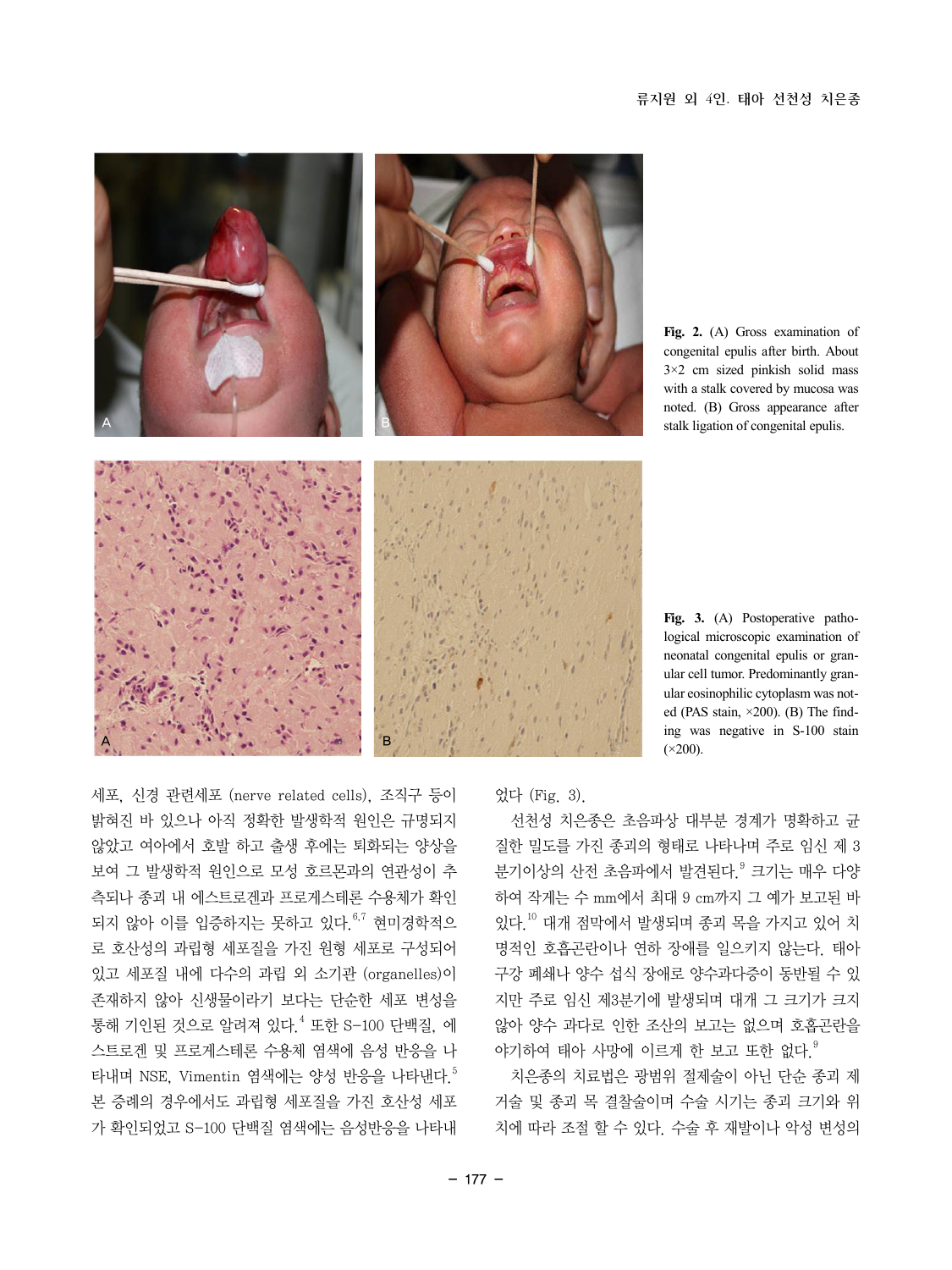

**Fig. 2.** (A) Gross examination of congenital epulis after birth. About 3×2 cm sized pinkish solid mass with a stalk covered by mucosa was noted. (B) Gross appearance after stalk ligation of congenital epulis.

**Fig. 3.** (A) Postoperative pathological microscopic examination of neonatal congenital epulis or granular cell tumor. Predominantly granular eosinophilic cytoplasm was noted (PAS stain, ×200). (B) The finding was negative in S-100 stain  $(\times 200)$ .

세포, 신경 관련세포 (nerve related cells), 조직구 등이 밝혀진 바 있으나 아직 정확한 발생학적 원인은 규명되지 않았고 여아에서 호발 하고 출생 후에는 퇴화되는 양상을 보여 그 발생학적 원인으로 모성 호르몬과의 연관성이 추 측되나 종괴 내 에스트로겐과 프로게스테론 수용체가 확인 되지 않아 이를 입증하지는 못하고 있다.  $6,7$  현미경학적으 로 호산성의 과립형 세포질을 가진 원형 세포로 구성되어 있고 세포질 내에 다수의 과립 외 소기관 (organelles)이 존재하지 않아 신생물이라기 보다는 단순한 세포 변성을 통해 기인된 것으로 알려져 있다.<sup>4</sup> 또한 S-100 단백질, 에 스트로겐 및 프로게스테론 수용체 염색에 음성 반응을 나 타내며 NSE, Vimentin 염색에는 양성 반응을 나타낸다.<sup>5</sup> 본 증례의 경우에서도 과립형 세포질을 가진 호산성 세포 가 확인되었고 S-100 단백질 염색에는 음성반응을 나타내

었다 (Fig. 3).

선천성 치은종은 초음파상 대부분 경계가 명확하고 균 질한 밀도를 가진 종괴의 형태로 나타나며 주로 임신 제 3 분기이상의 산전 초음파에서 발견된다. <sup>9</sup> 크기는 매우 다양 하여 작게는 수 mm에서 최대 9 cm까지 그 예가 보고된 바 있다.10 대개 점막에서 발생되며 종괴 목을 가지고 있어 치 명적인 호흡곤란이나 연하 장애를 일으키지 않는다. 태아 구강 폐쇄나 양수 섭식 장애로 양수과다증이 동반될 수 있 지만 주로 임신 제3분기에 발생되며 대개 그 크기가 크지 않아 양수 과다로 인한 조산의 보고는 없으며 호홉곤란을 야기하여 태아 사망에 이르게 한 보고 또한 없다.  $9$ 

치은종의 치료법은 광범위 절제술이 아닌 단순 종괴 제 거술 및 종괴 목 결찰술이며 수술 시기는 종괴 크기와 위 치에 따라 조절 할 수 있다. 수술 후 재발이나 악성 변성의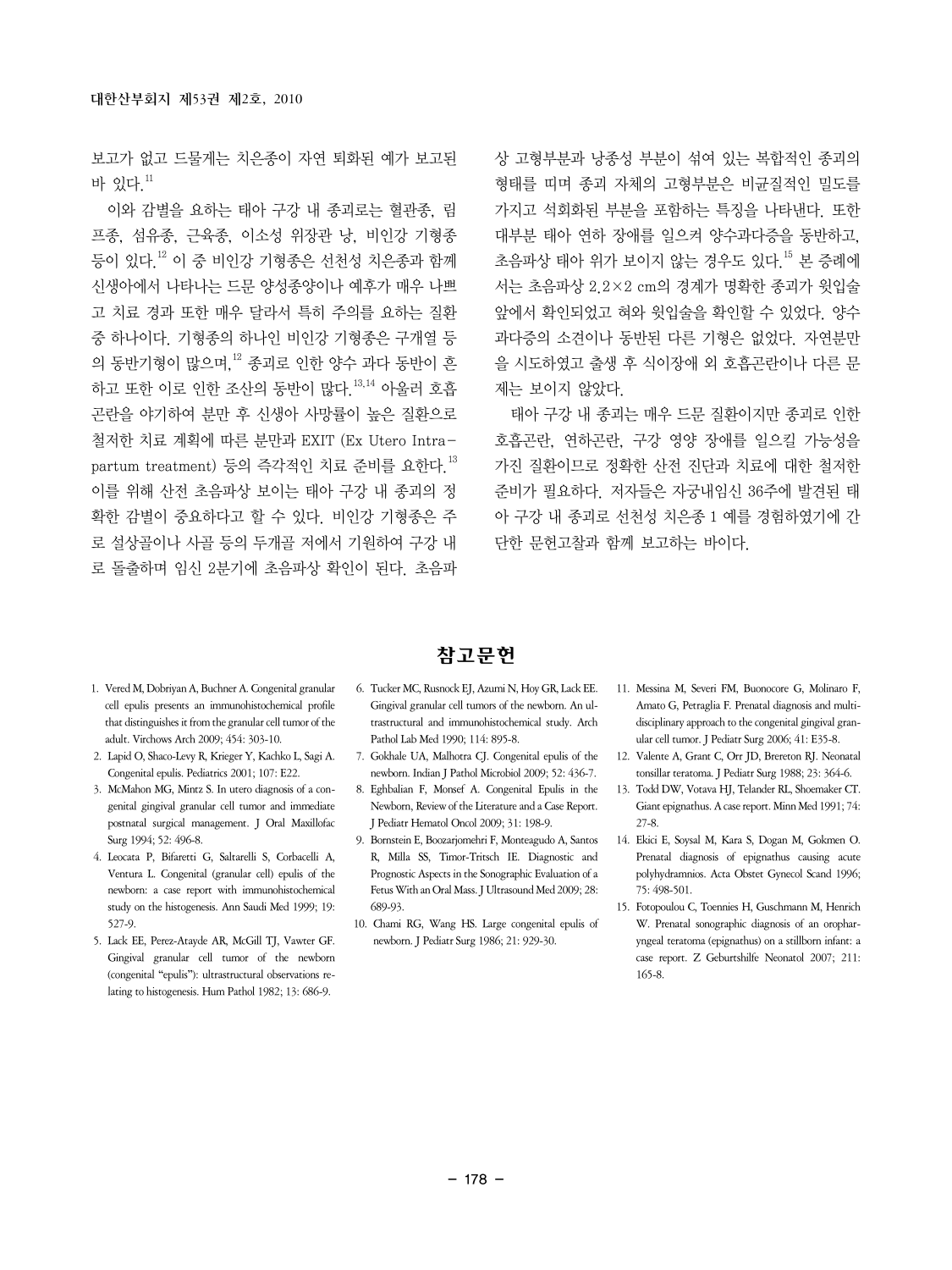보고가 없고 드물게는 치은종이 자연 퇴화된 예가 보고된 바 있다  $11$ 

이와 감별을 요하는 태아 구강 내 종괴로는 혈관종, 림 프종, 섬유종, 근육종, 이소성 위장관 낭, 비인강 기형종 등이 있다.12 이 중 비인강 기형종은 선천성 치은종과 함께 신생아에서 나타나는 드문 양성종양이나 예후가 매우 나쁘 고 치료 경과 또한 매우 달라서 특히 주의를 요하는 질환 중 하나이다. 기형종의 하나인 비인강 기형종은 구개열 등 의 동반기형이 많으며,12 종괴로 인한 양수 과다 동반이 흔 하고 또한 이로 인한 조산의 동반이 많다.  $^{13,14}$  아울러 호흡 곤란을 야기하여 분만 후 신생아 사망률이 높은 질환으로 철저한 치료 계획에 따른 분만과 EXIT (Ex Utero Intrapartum treatment) 등의 즉각적인 치료 주비를 요하다 13 이를 위해 산전 초음파상 보이는 태아 구강 내 종괴의 정 확한 감별이 중요하다고 할 수 있다. 비인강 기형종은 주 로 설상골이나 사골 등의 두개골 저에서 기원하여 구강 내 로 돌출하며 임신 2분기에 초음파상 확인이 된다. 초음파 상 고형부분과 낭종성 부분이 섞여 있는 복합적인 종괴의 형태를 띠며 종괴 자체의 고형부분은 비균질적인 밀도를 가지고 석회화된 부분을 포함하는 특징을 나타낸다. 또한 대부분 태아 연하 장애를 일으켜 양수과다증을 동반하고, 초음파상 태아 위가 보이지 않는 경우도 있다.15 본 증례에 서는 초음파상 2.2×2 cm의 경계가 명확한 종괴가 윗입술 앞에서 확인되었고 혀와 윗입술을 확인할 수 있었다. 양수 과다증의 소견이나 동반된 다른 기형은 없었다. 자연분만 을 시도하였고 출생 후 식이장애 외 호흡곤란이나 다른 문 제는 보이지 않았다.

태아 구강 내 종괴는 매우 드문 질환이지만 종괴로 인한 호흡곤란, 연하곤란, 구강 영양 장애를 일으킬 가능성을 가진 질환이므로 정확한 산전 진단과 치료에 대한 철저한 준비가 필요하다. 저자들은 자궁내임신 36주에 발견된 태 아 구강 내 종괴로 선천성 치은종 1 예를 경험하였기에 간 단한 문헌고찰과 함께 보고하는 바이다.

- 1. Vered M, Dobriyan A, Buchner A. Congenital granular cell epulis presents an immunohistochemical profile that distinguishes it from the granular cell tumor of the adult. Virchows Arch 2009; 454: 303-10.
- 2. Lapid O, Shaco-Levy R, Krieger Y, Kachko L, Sagi A. Congenital epulis. Pediatrics 2001; 107: E22.
- 3. McMahon MG, Mintz S. In utero diagnosis of a congenital gingival granular cell tumor and immediate postnatal surgical management. J Oral Maxillofac Surg 1994; 52: 496-8.
- 4. Leocata P, Bifaretti G, Saltarelli S, Corbacelli A, Ventura L. Congenital (granular cell) epulis of the newborn: a case report with immunohistochemical study on the histogenesis. Ann Saudi Med 1999; 19: 527-9.
- 5. Lack EE, Perez-Atayde AR, McGill TJ, Vawter GF. Gingival granular cell tumor of the newborn (congenital "epulis"): ultrastructural observations relating to histogenesis. Hum Pathol 1982; 13: 686-9.

참고문헌

- 6. Tucker MC, Rusnock EJ, Azumi N, Hoy GR, Lack EE. Gingival granular cell tumors of the newborn. An ultrastructural and immunohistochemical study. Arch Pathol Lab Med 1990; 114: 895-8.
- 7. Gokhale UA, Malhotra CJ. Congenital epulis of the newborn. Indian J Pathol Microbiol 2009; 52: 436-7.
- 8. Eghbalian F, Monsef A. Congenital Epulis in the Newborn, Review of the Literature and a Case Report. J Pediatr Hematol Oncol 2009; 31: 198-9.
- 9. Bornstein E, Boozarjomehri F, Monteagudo A, Santos R, Milla SS, Timor-Tritsch IE. Diagnostic and Prognostic Aspects in the Sonographic Evaluation of a Fetus With an Oral Mass. J Ultrasound Med 2009; 28: 689-93.
- 10. Chami RG, Wang HS. Large congenital epulis of newborn. J Pediatr Surg 1986; 21: 929-30.
- 11. Messina M, Severi FM, Buonocore G, Molinaro F, Amato G, Petraglia F. Prenatal diagnosis and multidisciplinary approach to the congenital gingival granular cell tumor. J Pediatr Surg 2006; 41: E35-8.
- 12. Valente A, Grant C, Orr JD, Brereton RJ. Neonatal tonsillar teratoma. J Pediatr Surg 1988; 23: 364-6.
- 13. Todd DW, Votava HJ, Telander RL, Shoemaker CT. Giant epignathus. A case report. Minn Med 1991; 74: 27-8.
- 14. Ekici E, Soysal M, Kara S, Dogan M, Gokmen O. Prenatal diagnosis of epignathus causing acute polyhydramnios. Acta Obstet Gynecol Scand 1996; 75: 498-501.
- 15. Fotopoulou C, Toennies H, Guschmann M, Henrich W. Prenatal sonographic diagnosis of an oropharyngeal teratoma (epignathus) on a stillborn infant: a case report. Z Geburtshilfe Neonatol 2007; 211: 165-8.